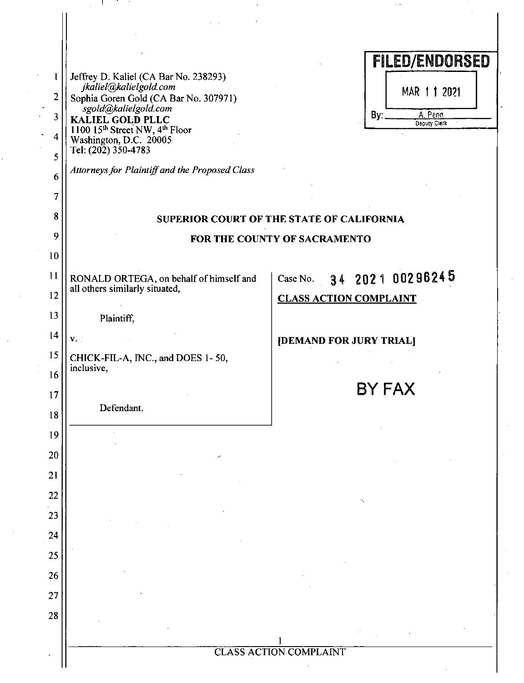|                   |                                                                           | <b>FILED/ENDORSED</b>                     |
|-------------------|---------------------------------------------------------------------------|-------------------------------------------|
| 1                 | Jeffrey D. Kaliel (CA Bar No. 238293)<br>jkaliel@kalielgold.com           |                                           |
| 2                 | Sophia Goren Gold (CA Bar No. 307971)<br>.<br>sgold@kalielgold.com        | MAR 11 2021                               |
| 3<br>$\mathbf{I}$ | KALIEL GOLD PLLC<br>1100 15th Street NW, 4th Floor                        | A. Pann<br>By:<br>Deputy Clerk            |
| 4                 | Washington, D.C. 20005<br>Tel: (202) 350-4783                             |                                           |
| 5                 | Attorneys for Plaintiff and the Proposed Class                            |                                           |
| 6                 |                                                                           |                                           |
| $\overline{\tau}$ |                                                                           |                                           |
| 8<br>9            |                                                                           | SUPERIOR COURT OF THE STATE OF CALIFORNIA |
| 10                |                                                                           | FOR THE COUNTY OF SACRAMENTO              |
| 11                |                                                                           | Case No. 34 2021 00296245                 |
| 12                | RONALD ORTEGA, on behalf of himself and<br>all others similarly situated, | <b>CLASS ACTION COMPLAINT</b>             |
| 13                | Plaintiff,                                                                |                                           |
| 14                | $V_{\star}$ :                                                             | [DEMAND FOR JURY TRIAL]                   |
| 15                | CHICK-FIL-A, INC., and DOES 1-50,                                         |                                           |
| 16                | inclusive,                                                                |                                           |
| 17                |                                                                           | BY FAX                                    |
| 18                | Defendant.                                                                |                                           |
| 19                |                                                                           |                                           |
| 20                |                                                                           |                                           |
| 21                |                                                                           |                                           |
| 22                |                                                                           |                                           |
| 23                |                                                                           |                                           |
| 24                |                                                                           |                                           |
| 25                |                                                                           |                                           |
| 26                |                                                                           |                                           |
| 27                |                                                                           |                                           |
| 28                |                                                                           |                                           |
|                   |                                                                           |                                           |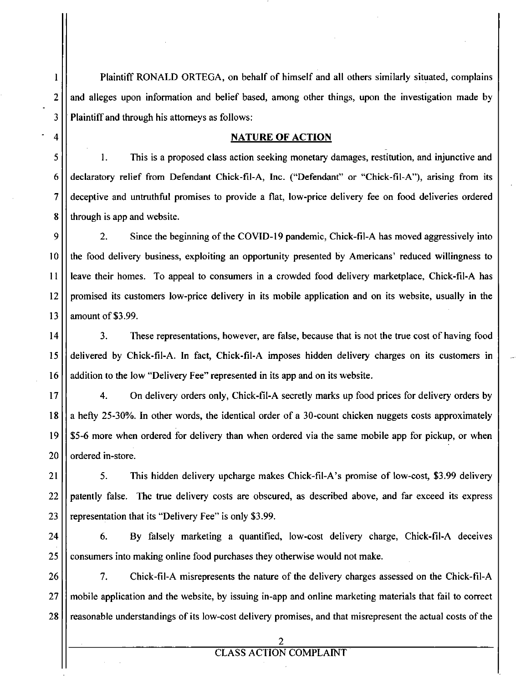1 Plaintiff RONALD ORTEGA, on behalf of himself and all others similarly situated, complains  $2$  | and alleges upon information and belief based, among other things, upon the investigation made by  $3$  || Plaintiff and through his attorneys as follows:

### **4** | **NATURE OF ACTION**

 $5 \parallel$  1. This is a proposed class action seeking monetary damages, restitution, and injunctive and 6 declaratory relief from Defendant Chick-fil-A, Inc. ("Defendant" or "Chick-fil-A"), arising from its 7 deceptive and untmthful promises to provide a flat, low-price delivery fee on food deliveries ordered 8 | through is app and website.

9 2. Since the beginning of the COVID-19 pandemic, Chick-fil-A has moved aggressively into 10 the food delivery business, exploiting an opportunity presented by Americans' reduced willingness to 11 leave their homes. To appeal to consumers in a crowded food delivery marketplace, Chick-fil-A has 12 promised its customers low-price delivery in its mobile application and on its website, usually in the 13  $\parallel$  amount of \$3.99.

14 | 3. These representations, however, are false, because that is not the true cost of having food 15 delivered by Chick-fil-A. In fact, Chick-fil-A imposes hidden delivery charges on its customers in 16 | addition to the low "Delivery Fee" represented in its app and on its website.

17 4. On delivery orders only, Chick-fil-A secretly marks up food prices for delivery orders by 18  $\vert$  a hefty 25-30%. In other words, the identical order of a 30-count chicken nuggets costs approximately 19  $\parallel$  \$5-6 more when ordered for delivery than when ordered via the same mobile app for pickup, or when 20 II ordered in-store.

21  $\vert$  5. This hidden delivery upcharge makes Chick-fil-A's promise of low-cost, \$3.99 delivery 22 | patently false. The true delivery costs are obscured, as described above, and far exceed its express 23  $\vert\vert$  representation that its "Delivery Fee" is only \$3.99.

24 | 6. By falsely marketing a quantified, low-cost delivery charge, Chick-fil-A deceives 25 consumers into making online food purchases they otherwise would not make.

26 7. Chick-fil-A misrepresents the nature of the delivery charges assessed on the Chick-fil-A 27 mobile application and the website, by issuing in-app and online marketing materials that fail to correct 28 ereasonable understandings of its low-cost delivery promises, and that misrepresent the actual costs of the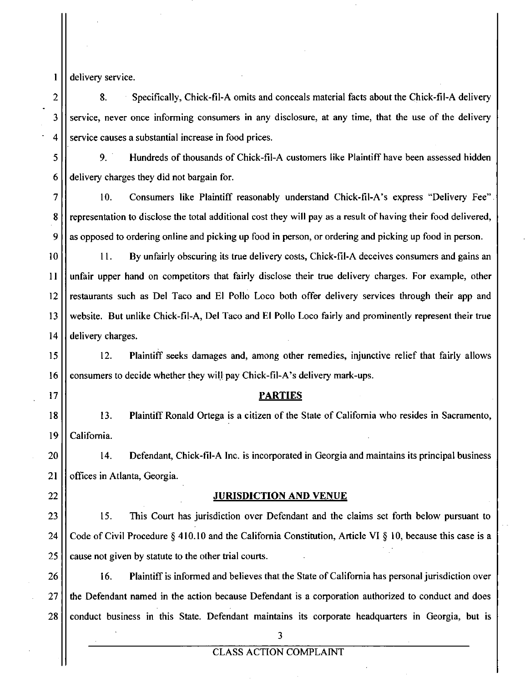1 | delivery service.

2 8. Specifically, Chick-fil-A omits and conceals material facts about the Chick-fil-A delivery 3 || service, never once informing consumers in any disclosure, at any time, that the use of the delivery  $4$   $\parallel$  service causes a substantial increase in food prices.

5 9. Hundreds of thousands of Chick-fil-A customers like Plaintiff have been assessed hidden  $6$  | delivery charges they did not bargain for.

7 10. Consumers like Plaintiff reasonably understand Chick-fil-A's express "Delivery Fee" 8. Solvet the total additional cost they will pay as a result of having their food delivered,  $9$  as opposed to ordering online and picking up food in person, or ordering and picking up food in person.

10 11. By unfairly obscuring its tme delivery costs, Chick-fil-A deceives consumers and gains an 11 unfair upper hand on competitors that fairly disclose their tme delivery charges. For example, other 12 restaurants such as Del Taco and El Polio Loco both offer delivery services through their app and 13 website. But unlike Chick-fil-A, Del Taco and El Polio Loco fairly and prominently represent their tme  $14$  delivery charges.

15 12. Plaintiff seeks damages and, among other remedies, injunctive relief that fairly allows 16 | consumers to decide whether they will pay Chick-fil-A's delivery mark-ups.

#### **17 PARTIES**

18 13. Plaintiff Ronald Ortega is a citizen of the State of Califomia who resides in Sacramento, 19 | California.

20 14. Defendant, Chick-fil-A Inc. is incorporated in Georgia and maintains its principal business 21 | offices in Atlanta, Georgia.

#### 22 || JURISDICTION AND VENUE

23 15. This Court has jurisdiction over Defendant and the claims set forth below pursuant to 24 Code of Civil Procedure § 410.10 and the California Constitution, Article VI § 10, because this case is a 25 ll cause not given by statute to the other trial courts.

26 16. Plaintiff is informed and believes that the State of Califomia has personal jurisdiction over 27 | the Defendant named in the action because Defendant is a corporation authorized to conduct and does 28 | conduct business in this State. Defendant maintains its corporate headquarters in Georgia, but is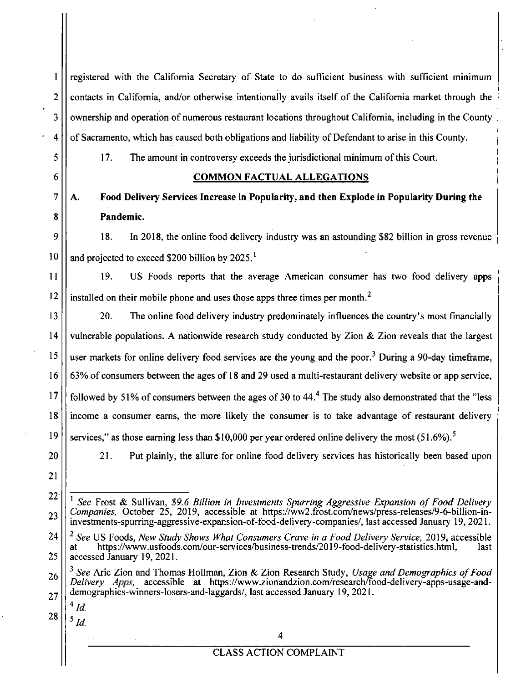| 1              | registered with the California Secretary of State to do sufficient business with sufficient minimum                                                                                                                                                                                                                              |  |  |
|----------------|----------------------------------------------------------------------------------------------------------------------------------------------------------------------------------------------------------------------------------------------------------------------------------------------------------------------------------|--|--|
| $\overline{2}$ | contacts in California, and/or otherwise intentionally avails itself of the California market through the                                                                                                                                                                                                                        |  |  |
| 3              | ownership and operation of numerous restaurant locations throughout California, including in the County                                                                                                                                                                                                                          |  |  |
| 4              | of Sacramento, which has caused both obligations and liability of Defendant to arise in this County.                                                                                                                                                                                                                             |  |  |
| 5              | 17.<br>The amount in controversy exceeds the jurisdictional minimum of this Court.                                                                                                                                                                                                                                               |  |  |
| 6              | <b>COMMON FACTUAL ALLEGATIONS</b>                                                                                                                                                                                                                                                                                                |  |  |
| 7              | Food Delivery Services Increase in Popularity, and then Explode in Popularity During the<br>A.                                                                                                                                                                                                                                   |  |  |
| 8              | Pandemic.                                                                                                                                                                                                                                                                                                                        |  |  |
| 9              | In 2018, the online food delivery industry was an astounding \$82 billion in gross revenue<br>18.                                                                                                                                                                                                                                |  |  |
| 10             | and projected to exceed \$200 billion by 2025. <sup>1</sup>                                                                                                                                                                                                                                                                      |  |  |
| 11             | US Foods reports that the average American consumer has two food delivery apps<br>19.                                                                                                                                                                                                                                            |  |  |
| 12             | installed on their mobile phone and uses those apps three times per month. <sup>2</sup>                                                                                                                                                                                                                                          |  |  |
| 13             | 20.<br>The online food delivery industry predominately influences the country's most financially                                                                                                                                                                                                                                 |  |  |
| 14             | vulnerable populations. A nationwide research study conducted by Zion & Zion reveals that the largest                                                                                                                                                                                                                            |  |  |
| 15             | user markets for online delivery food services are the young and the poor. <sup>3</sup> During a 90-day timeframe,                                                                                                                                                                                                               |  |  |
| 16             | 63% of consumers between the ages of 18 and 29 used a multi-restaurant delivery website or app service,                                                                                                                                                                                                                          |  |  |
| 17             | followed by 51% of consumers between the ages of 30 to $44.4$ The study also demonstrated that the "less"                                                                                                                                                                                                                        |  |  |
| 18             | income a consumer earns, the more likely the consumer is to take advantage of restaurant delivery                                                                                                                                                                                                                                |  |  |
| 19             | services," as those earning less than \$10,000 per year ordered online delivery the most $(51.6\%)$ .                                                                                                                                                                                                                            |  |  |
| 20             | 21.<br>Put plainly, the allure for online food delivery services has historically been based upon                                                                                                                                                                                                                                |  |  |
| 21             |                                                                                                                                                                                                                                                                                                                                  |  |  |
| 22             | <sup>1</sup> See Frost & Sullivan, \$9.6 Billion in Investments Spurring Aggressive Expansion of Food Delivery<br>Companies, October 25, 2019, accessible at https://ww2.frost.com/news/press-releases/9-6-billion-in-<br>investments-spurring-aggressive-expansion-of-food-delivery-companies/, last accessed January 19, 2021. |  |  |
| 23             |                                                                                                                                                                                                                                                                                                                                  |  |  |
| 24             | <sup>2</sup> See US Foods, New Study Shows What Consumers Crave in a Food Delivery Service, 2019, accessible                                                                                                                                                                                                                     |  |  |
| 25             | https://www.usfoods.com/our-services/business-trends/2019-food-delivery-statistics.html,<br>last<br>at<br>accessed January 19, 2021.                                                                                                                                                                                             |  |  |
| 26             | <sup>3</sup> See Aric Zion and Thomas Hollman, Zion & Zion Research Study, Usage and Demographics of Food<br>Delivery Apps, accessible at https://www.zionandzion.com/research/food-delivery-apps-usage-and-                                                                                                                     |  |  |
| 27             | demographics-winners-losers-and-laggards/, last accessed January 19, 2021.<br>$^4$ Id.                                                                                                                                                                                                                                           |  |  |
| 28             | $\frac{5}{1}$ Id.                                                                                                                                                                                                                                                                                                                |  |  |
|                | 4                                                                                                                                                                                                                                                                                                                                |  |  |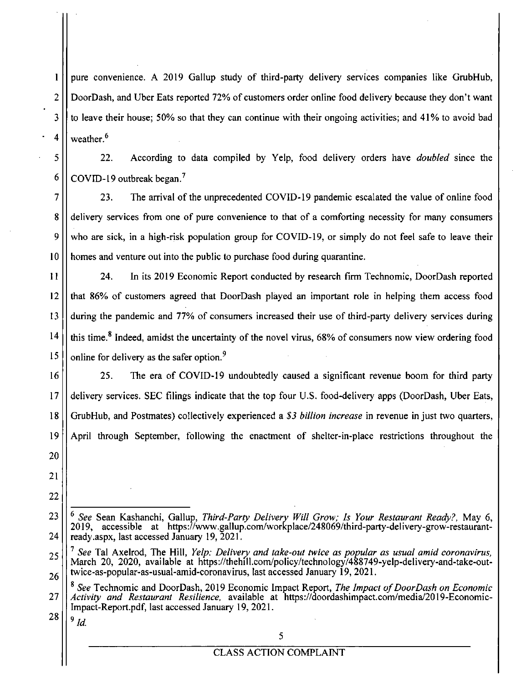pure convenience. A 2019 Gallup study of third-party delivery services companies like GrubHub, DoorDash, and Uber Eats reported 72% of customers order online food delivery because they don't want to leave their house; 50% so that they can continue with their ongoing activities; and 41% to avoid bad weather.<sup>6</sup>

5 6

7

8

9

10

11

15

1

2

3

4

22. According to data compiled by Yelp, food delivery orders have *doubled* since the COVID-19 outbreak began.''

23. The arrival of the unprecedented COVID-19 pandemic escalated the value of online food delivery services from one of pure convenience to that of a comforting necessity for many consumers who are sick, in a high-risk population group for COVID-19, or simply do not feel safe to leave their homes and venture out into the public to purchase food during quarantine.

12 13 14 24. In its 2019 Economic Report conducted by research firm Technomic, DoorDash reported that 86% of customers agreed that DoorDash played an important role in helping them access food during the pandemic and 77% of consumers increased their use of third-party delivery services during this time.<sup>8</sup> Indeed, amidst the uncertainty of the novel virus,  $68\%$  of consumers now view ordering food online for delivery as the safer option.<sup>9</sup>

16 17 18 19 25. The era of COVID-19 undoubtedly caused a significant revenue boom for third party delivery services. SEC filings indicate that the top four U.S. food-delivery apps (DoorDash, Uber Eats, GrubHub, and Postmates) collectively experienced a \$3 billion increase in revenue in just two quarters, April through September, following the enactment of shelter-in-place restrictions throughout the

21 22

20

 $9$   $Id$ .

<sup>23</sup>  24 See Sean Kashanchi, Gallup, Third-Party Delivery Will Grow; Is Your Restaurant Ready?, May 6, 2019, accessible at https://www.gallup.com/workplace/248069/third-party-delivery-grow-restaurantready.aspx, last accessed January 19, 2021.

<sup>25</sup>  26 <sup>7</sup> See Tal Axelrod, The Hill, *Yelp: Delivery and take-out twice as popular as usual amid coronavirus,* March 20, 2020, available at https://thehill.com/policy/technology/488749-yelp-delivery-and-take-outtwice-as-popular-as-usual-amid-coronavims, last accessed January 19, 2021.

<sup>27</sup>  28 <sup>8</sup> See Technomic and DoorDash, 2019 Economic Impact Report, The Impact of DoorDash on Economic Activity and Restaurant Resilience, available at https://doordashimpact.com/media/2019-Economic-Impact-Report.pdf, last accessed January 19, 2021.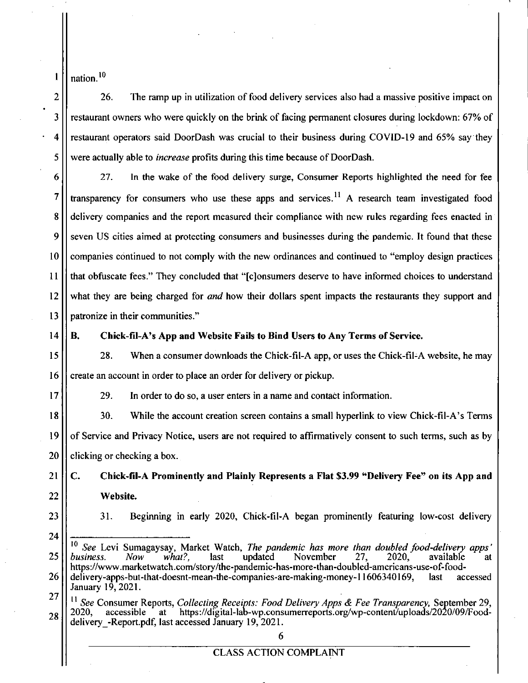$1$  | nation.<sup>10</sup>

 $2 \parallel$  26. The ramp up in utilization of food delivery services also had a massive positive impact on 3 restaurant owners who were quickly on the brink of facing permanent closures during lockdown: 67% of 4 restaurant operators said DoorDash was cmcial to their business during COVID-19 and 65% say they  $5$  | were actually able to *increase* profits during this time because of DoorDash.

6 27. In the wake of the food delivery surge. Consumer Reports highlighted the need for fee 7  $\vert\vert$  transparency for consumers who use these apps and services.<sup>11</sup> A research team investigated food 8  $\vert\vert$  delivery companies and the report measured their compliance with new rules regarding fees enacted in 9 || seven US cities aimed at protecting consumers and businesses during the pandemic. It found that these 10 | companies continued to not comply with the new ordinances and continued to "employ design practices" 11 that obfuscate fees." They concluded that "[c]onsumers deserve to have informed choices to understand 12 What they are being charged for and how their dollars spent impacts the restaurants they support and  $13$  II patronize in their communities."

#### **14 B. Chick-fil-A's App and Website Fails to Bind Users to Any Terms of Service.**

15 28. When a consumer downloads the Chick-fil-A app, or uses the Chick-fil-A website, he may 16 | create an account in order to place an order for delivery or pickup.

17 29. In order to do so, a user enters in a name and contact information.

18 30. While the account creation screen contains a small hyperlink to view Chick-fil-A's Terms 19 of Service and Privacy Notice, users are not required to affirmatively consent to such terms, such as by  $20$  | clicking or checking a box.

**21 C. Chick-fil-A Prominently and Plainly Represents a Flat \$3.99 "Delivery Fee" on its App and 22 Website.** 

24

23  $\vert$  31. Beginning in early 2020, Chick-fil-A began prominently featuring low-cost delivery

**27**   $\frac{11}{11}$  See Consumer Reports, Collecting Receipts: Food Delivery Apps & Fee Transparency, September 29,  $_{28}$  || 2020, accessible at https://digital-lab-wp.consumerreports.org/wp-content/uploads/2020/09/Fooddelivery -Report.pdf, last accessed January 19, 2021.

<sup>10</sup> <sup>10</sup> See Levi Sumagaysay, Market Watch, *The pandemic has more than doubled food-delivery apps' business.* Now what?, last updated November 27, 2020, available at 25 | business. Now what?, last updated November 27, 2020, available at https://www.marketwatch.com/story/the-pandemic-has-more-than-doubled-americans-use-of-food-26 delivery-apps-but-that-doesnt-mean-the-companies-are-making-money-11606340169, last accessed January 19, 2021.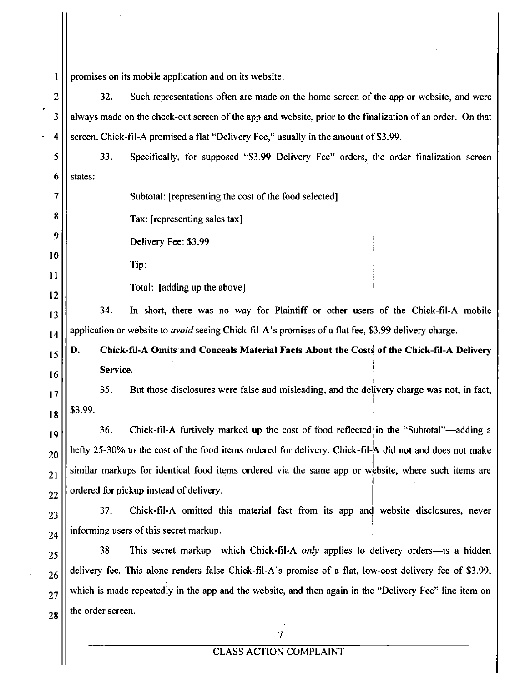promises on its mobile application and on its website. 1 2 32. Such representations often are made on the home screen of the app or website, and were 3 always made on the check-out screen of the app and website, prior to the finalization of an order. On that 4 screen, Chick-fil-A promised a flat "Delivery Fee," usually in the amount of \$3.99. 5 33. Specifically, for supposed "\$3.99 Delivery Fee" orders, the order finalization screen 6 states: 7 Subtotal: [representing the cost of the food selected] 8 Tax: [representing sales tax] 9 Delivery Fee: \$3.99 10 Tip: 11 Total: [adding up the above] 12 34. In short, there was no way for Plaintiff or other users of the Chick-fil-A mobile 13 application or website to *avoid* seeing Chick-fil-A's promises of a flat fee, \$3.99 delivery charge. 14 **D. Chick-fil-A Omits and Conceals Material Facts About the Costs of the Chick-fil-A Delivery**  15 **Service.**  16 35. But those disclosures were false and misleading, and the delivery charge was not, in fact, 17 \$3.99. 18 36. Chick-fil-A furtively marked up the cost of food reflected in the "Subtotal"—adding a 19 hefty 25-30% to the cost of the food items ordered for delivery. Chick-fil-A did not and does not make 20 similar markups for identical food items ordered via the same app or website, where such items are 21 ordered for pickup instead of delivery. 22 37. Chick-fil-A omitted this material fact from its app and website disclosures, never 23 informing users of this secret markup. 24 38. This secret markup—which Chick-fil-A only applies to delivery orders—is a hidden 25 delivery fee. This alone renders false Chick-fil-A's promise of a flat, low-cost delivery fee of \$3.99, 26 which is made repeatedly in the app and the website, and then again in the "Delivery Fee" line item on 27 the order screen. 28 7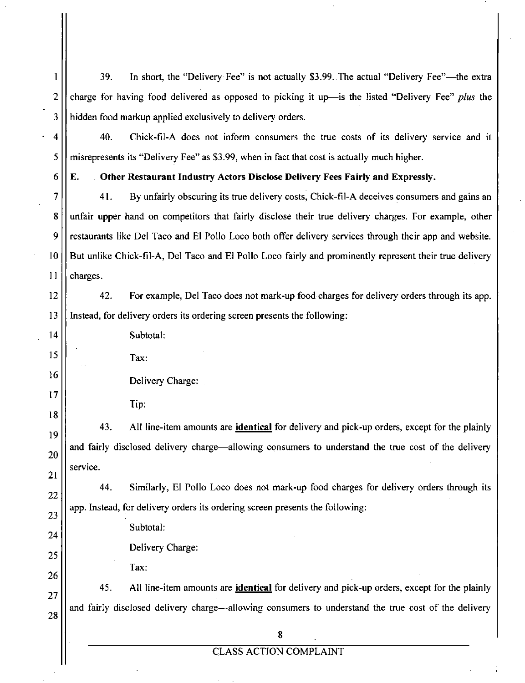1 39. In short, the "Delivery Fee" is not actually \$3.99. The actual "Delivery Fee"—^the extra 2  $\vert\vert$  charge for having food delivered as opposed to picking it up—is the listed "Delivery Fee" plus the 3 | hidden food markup applied exclusively to delivery orders.

4 40. Chick-fil-A does not inform consumers the tme costs of its delivery service and it  $5$  | misrepresents its "Delivery Fee" as \$3.99, when in fact that cost is actually much higher.

**6 E. Other Restaurant Industry Actors Disclose Delivery Fees Fairly and Expressly.** 

7 41. By unfairly obscuring its tme delivery costs, Chick-fil-A deceives consumers and gains an 8. Unfair upper hand on competitors that fairly disclose their true delivery charges. For example, other 9 restaurants like Del Taco and El Polio Loco both offer delivery services through their app and website. 10 But unlike Chick-fil-A, Del Taco and El Polio Loco fairly and prominently represent their tme delivery  $11$  | charges.

12 | 42. For example, Del Taco does not mark-up food charges for delivery orders through its app. 13 Instead, for delivery orders its ordering screen presents the following:

14 | Subtotal: Tax: 15

16

17

18

19

20

21

22

23

24

25

26

- Delivery Charge:
	- Tip:

43. All line-item amounts are identical for delivery and pick-up orders, except for the plainly and fairly disclosed delivery charge—allowing consumers to understand the tme cost of the delivery service.

44. Similarly, El Polio Loco does not mark-up food charges for delivery orders through its app. Instead, for delivery orders its ordering screen presents the following:

Subtotal:

Delivery Charge:

Tax:

45. All line-item amounts are identical for delivery and pick-up orders, except for the plainly and fairly disclosed delivery charge—allowing consumers to understand the true cost of the delivery 27 28

8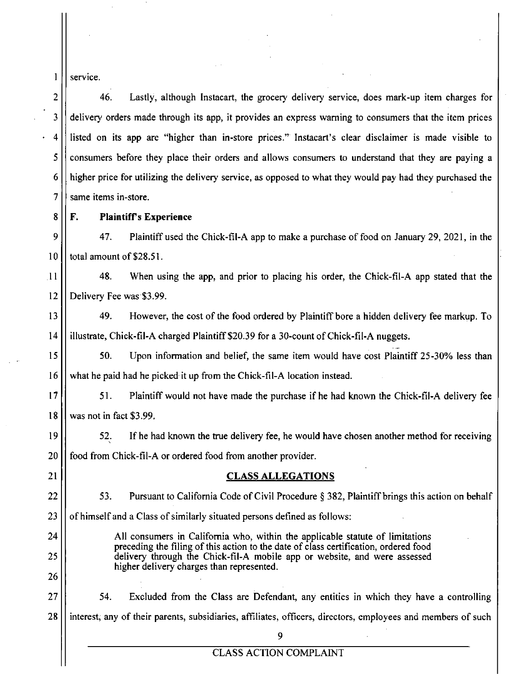1 || service.

26

2 46. Lastly, although Instacart, the grocery delivery service, does mark-up item charges for 3 delivery orders made through its app, it provides an express waming to consumers that the item prices 4 listed on its app are "higher than in-store prices." Instacart's clear disclaimer is made visible to 5 consumers before they place their orders and allows consumers to understand that they are paying a 6 higher price for utilizing the delivery service, as opposed to what they would pay had they purchased the  $7$  | same items in-store.

**8 F. Plaintiffs Experience** 

9 47. Plaintiff used the Chick-fil-A app to make a purchase of food on January 29, 2021, in the  $10$   $\parallel$  total amount of \$28.51.

11 48. When using the app, and prior to placing his order, the Chick-fil-A app stated that the 12 Delivery Fee was \$3.99.

13 49. However, the cost of the food ordered by Plaintiff bore a hidden delivery fee markup. To 14 illustrate, Chick-fil-A charged Plaintiff \$20.39 for a 30-count of Chick-fil-A nuggets.

15 | 50. Upon information and belief, the same item would have cost Plaintiff 25-30% less than 16 | what he paid had he picked it up from the Chick-fil-A location instead.

17 | 51. Plaintiff would not have made the purchase if he had known the Chick-fil-A delivery fee 18 was not in fact \$3.99.

19 | 52. If he had known the true delivery fee, he would have chosen another method for receiving 20 **food from Chick-fil-A** or ordered food from another provider.

### 21 || **CLASS ALLEGATIONS**

22  $\vert$  53. Pursuant to California Code of Civil Procedure § 382, Plaintiff brings this action on behalf

 $23$  || of himself and a Class of similarly situated persons defined as follows:

24 | All consumers in California who, within the applicable statute of limitations preceding the filing of this action to the date of class certification, ordered food 25 delivery through the Chick-fil-A mobile app or website, and were assessed higher delivery charges than represented.

27  $\vert$  54. Excluded from the Class are Defendant, any entities in which they have a controlling 28 | interest, any of their parents, subsidiaries, affiliates, officers, directors, employees and members of such

9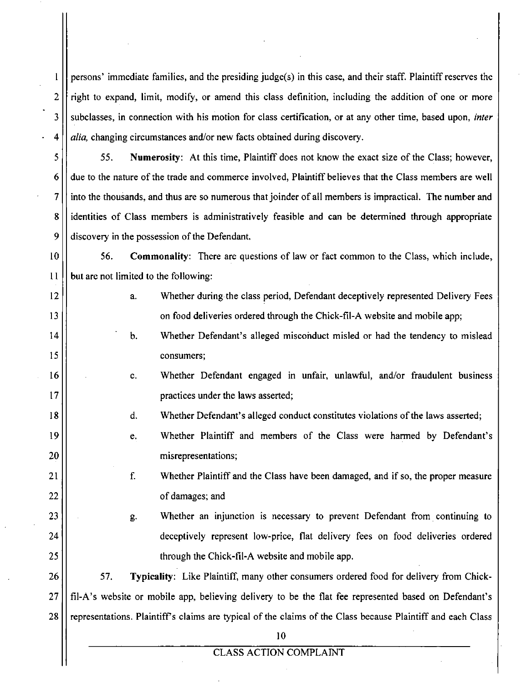1 persons' immediate families, and the presiding judge(s) in this case, and their staff. Plaintiff reserves the  $2$   $\parallel$  right to expand, limit, modify, or amend this class definition, including the addition of one or more *3 subclasses, in connection with his motion for class certification, or at any other time, based upon, inter*   $4 \mid \mid$  *alia*, changing circumstances and/or new facts obtained during discovery.

 $5 \parallel$  55. Numerosity: At this time, Plaintiff does not know the exact size of the Class; however,  $6 \mid$  due to the nature of the trade and commerce involved, Plaintiff believes that the Class members are well  $7$  || into the thousands, and thus are so numerous that joinder of all members is impractical. The number and 8 identities of Class members is administratively feasible and can be determined through appropriate  $9 \mid \mid$  discovery in the possession of the Defendant.

10 | 56. Commonality: There are questions of law or fact common to the Class, which include,  $11$  | but are not limited to the following:

- 12 | a. Whether during the class period, Defendant deceptively represented Delivery Fees 13 | on food deliveries ordered through the Chick-fil-A website and mobile app;
- 14 | b. Whether Defendant's alleged misconduct misled or had the tendency to mislead 15 | consumers;
- 16 c. Whether Defendant engaged in unfair, unlawful, and/or fraudulent business 17 | practices under the laws asserted;
- 18 | d. Whether Defendant's alleged conduct constitutes violations of the laws asserted;
- 19 e. Whether Plaintiff and members of the Class were harmed by Defendant's 20 | misrepresentations;

21 | Solution 1. Superson Whether Plaintiff and the Class have been damaged, and if so, the proper measure is 22 | of damages; and

23 | external g. Whether an injunction is necessary to prevent Defendant from continuing to 24 deceptively represent low-price, flat delivery fees on food deliveries ordered 25 | through the Chick-fil-A website and mobile app.

26 | 57. Typicality: Like Plaintiff, many other consumers ordered food for delivery from Chick-27 fil-A's website or mobile app, believing delivery to be the flat fee represented based on Defendant's 28 representations. Plaintiff's claims are typical of the claims of the Class because Plaintiff and each Class

10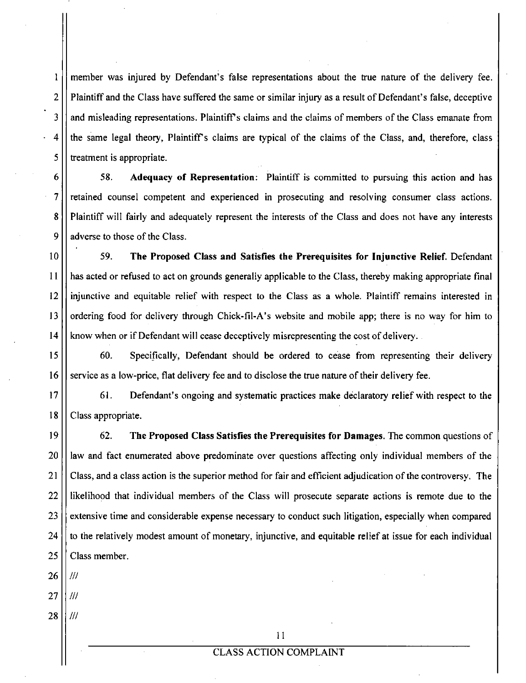1 2 3 4 5 member was injured by Defendant's false representations about the true nature of the delivery fee. Plaintiffand the Class have suffered the same or similar injury as a result of Defendant's false, deceptive and misleading representations. Plaintiff's claims and the claims of members of the Class emanate from the same legal theory. Plaintiffs claims are typical of the claims of the Class, and, therefore, class treatrhent is appropriate.

6 7 8 9 58. Adequacy of Representation: Plaintiff is committed to pursuing this action and has retained counsel competent and experienced in prosecuting and resolving consumer class actions. Plaintiff will fairly and adequately represent the interests of the Class and does not have any interests adverse to those of the Class.

10 11 12 13 14 59. The Proposed Class and Satisfies the Prerequisites for Injunctive Relief. Defendant has acted or refused to act on grounds generally applicable to the Class, thereby making appropriate final injunctive and equitable relief with respect to the Class as a whole. Plaintiff remains interested in ordering food for delivery through Chick-fil-A's website and mobile app; there is no way for him to know when or if Defendant will cease deceptively misrepresenting the cost of delivery.

15 16 60. Specifically, Defendant should be ordered to cease from representing their delivery service as a low-price, flat delivery fee and to disclose the tme nature of their delivery fee.

17 18 61. Defendant's ongoing and systematic practices make declaratory relief with respect to the Class appropriate.

19 20 21 22 23 24 25 62. The Proposed Class Satisfies the Prerequisites for Damages. The common questions of law and fact enumerated above predominate over questions affecting only individual members of the Class, and a class action is the superior method for fair and efficient adjudication of the controversy. The likelihood that individual members of the Class will prosecute separate actions is remote due to the extensive time and considerable expense necessary to conduct such litigation, especially when compared to the relatively modest amount of monetary, injunctive, and equitable relief at issue for each individual Class member.

26 ///

27 28 /// ///

11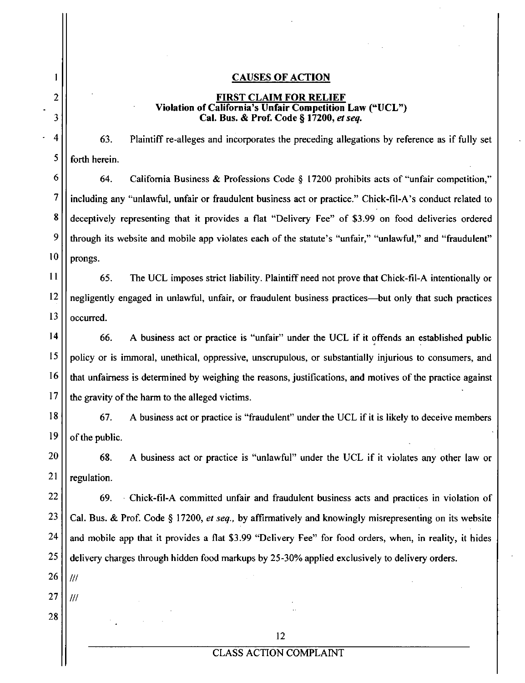#### **CAUSES OF ACTION**

#### *FIRST CLAIM FOR RELIEF Violation of California's Unfair Competition Law ("UCL") Cal. Bus. & Prof. Code § 17200, etseq.*

63. Plaintiff re-alleges and incorporates the preceding allegations by reference as if fully set forth herein.

6 7 8 9 10 64. Califomia Business & Professions Code § 17200 prohibits acts of "unfair competition," including any "unlawful, unfair or fraudulent business act or practice." Chick-fil-A's conduct related to deceptively representing that it provides a flat "Delivery Fee" of \$3.99 on food deliveries ordered through its website and mobile app violates each of the statute's "unfair," "unlawful," and "fraudulent" prongs.

11 12 13 65. The UCL imposes strict liability. Plaintiff need not prove that Chick-fil-A intentionally or negligently engaged in unlawful, unfair, or fraudulent business practices—but only that such practices occurred.

14 15 16 17 66. A business act or practice is "unfair" under the UCL if it offends an established public policy or is immoral, unethical, oppressive, unscmpulous, or substantially injurious to consumers, and that unfairness is determined by weighing the reasons, justifications, and motives of the practice against the gravity of the harm to the alleged victims.

18 19 67. A business act or practice is "fraudulent" under the UCL if it is likely to deceive members of the public.

20 21 68. A business act or practice is "unlawful" under the UCL if it violates any other law or regulation.

22 23 24 25 69. Chick-fil-A committed unfair and fraudulent business acts and practices in violation of Cal. Bus. & Prof. Code § 17200, et seq., by affirmatively and knowingly misrepresenting on its website and mobile app that it provides a flat \$3.99 "Delivery Fee" for food orders, when, in reality, it hides delivery charges through hidden food markups by 25-30% applied exclusively to delivery orders.

26 ///

///

1

2

3

4

5

- 27
- 28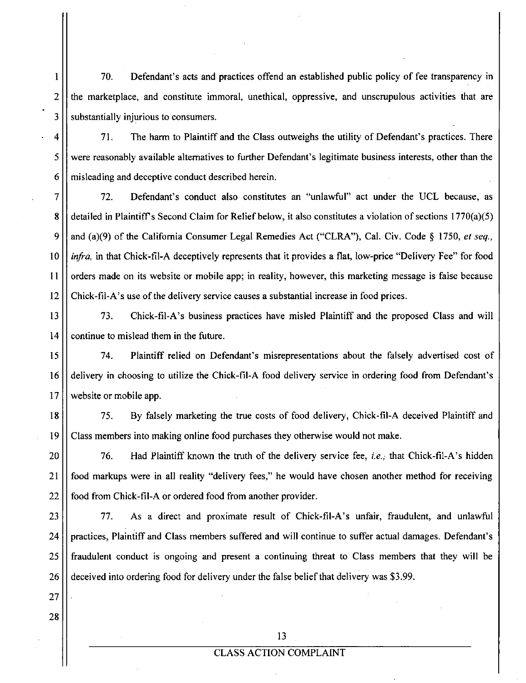1 70. Defendant's acts and practices offend an established public policy of fee transparency in  $2 \mid \mid$  the marketplace, and constitute immoral, unethical, oppressive, and unscrupulous activities that are 3 | substantially injurious to consumers.

4 71. The harm to Plaintiff and the Class outweighs the utility of Defendant's practices. There 5 were reasonably available altematives to further Defendant's legitimate business interests, other than the  $6 \mid \mid$  misleading and deceptive conduct described herein.

7 72. Defendant's conduct also constitutes an "unlawful" act under the UCL because, as 8 detailed in Plaintiff's Second Claim for Relief below, it also constitutes a violation of sections 1770(a)(5) *9 and (a)(9) of the Califomia Consumer Legal Remedies Act ("CLRA"), Cal. Civ. Code § 1750, et seq.,*  10 *infra*, in that Chick-fil-A deceptively represents that it provides a flat, low-price "Delivery Fee" for food 11 | | orders made on its website or mobile app; in reality, however, this marketing message is false because 12 Chick-fil-A's use of the delivery service causes a substantial increase in food prices.

13 73. Chick-fil-A's business practices have misled Plaintiff and the proposed Class and will  $14$  | continue to mislead them in the future.

15 74. Plaintiff relied on Defendant's misrepresentations about the falsely advertised cost of 16  $\vert\vert$  delivery in choosing to utilize the Chick-fil-A food delivery service in ordering food from Defendant's 17 | website or mobile app.

18 75. By falsely marketing the tme costs of food delivery, Chick-fil-A deceived Plaintiff and 19 Class members into making online food purchases they otherwise would not make.

20 | T6. Had Plaintiff known the truth of the delivery service fee, *i.e.*, that Chick-fil-A's hidden 21 food markups were in all reality "delivery fees," he would have chosen another method for receiving  $22$  | food from Chick-fil-A or ordered food from another provider.

23 77. As a direct and proximate result of Chick-fil-A's unfair, fraudulent, and unlawful 24 | practices, Plaintiff and Class members suffered and will continue to suffer actual damages. Defendant's 25 fraudulent conduct is ongoing and present a continuing threat to Class members that they will be 26 deceived into ordering food for delivery under the false belief that delivery was \$3.99.

27

28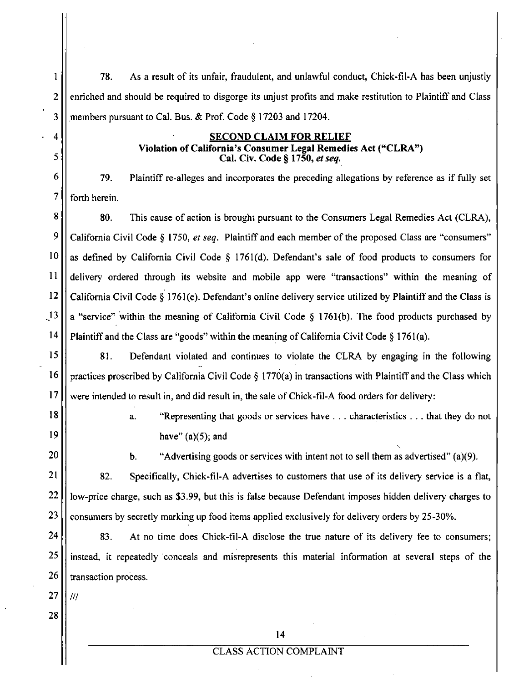1 78. As a result of its unfair, fraudulent, and unlawful conduct, Chick-fil-A has been unjustly 2. 2. enriched and should be required to disgorge its unjust profits and make restitution to Plaintiff and Class  $3$  | members pursuant to Cal. Bus. & Prof. Code § 17203 and 17204.

# **4 SECOND CLAIM FOR RELIEF Violation of California's Consumer Legal Remedies Act ("CLRA")**

<sup>6</sup>  $\vert$  79. Plaintiff re-alleges and incorporates the preceding allegations by reference as if fully set 6 79. Plaintiff re-alleges and incorporates the preceding allegations by reference as if fully set

 $\frac{1}{2}$  for  $\frac{1}{2}$ 8 80. This cause of action is brought pursuant to the Consumers Legal Remedies Act (CLRA),<br>9 California Civil Code § 1750, *et seq.* Plaintiff and each member of the proposed Class are "consumers"  $99$  as defined by California Civil Code § 1761(d). Defendant's sale of food products to consumers for  $11$ || delivery ordered through its website and mobile app were "transactions" within the meaning of 12  $\vert\vert$  California Civil Code § 1761(e). Defendant's online delivery service utilized by Plaintiff and the Class is  $13$  | a "service" within the meaning of California Civil Code § 1761(b). The food products purchased by  $\left\vert \frac{1}{\sqrt{2}}\right\vert$  and mean interviewing of California Civil Code  $\left\vert \frac{1}{\sqrt{2}}\right\vert$ 

14 Plaintiff and the Class are "goods" within the meaning of Califomia Civil Code § 1761(a).  $\mathbf{15}$  81. Defendant violated and continues to violate the following in the following in the following in the following in the following in the following in the following in the following in the following in the follow  $\frac{1}{\sqrt{2}}$  proscribed by California Civil Code  $\frac{1}{\sqrt{2}}$  in transactions with Plaintiff and the Class which Plaintiff and the Class which Plaintiff and the Class which Plaintiff and the Class which Plaintiff and the 17 were intended to result in, and did result in, the sale of Chick-fil-A food orders for delivery:<br>18  $\parallel$ 

5

18 a. "Representing that goods or services have . . . characteristics . . . that they do not  $\mathbb{R}^n$  have  $\mathbb{R}^n$ , and  $\mathbb{R}^n$ 

b. "Advertising goods or services with intent not to sell them as advertised" (a)(9).

21 | 82. Specifically, Chick-fil-A advertises to customers that use of its delivery service is a flat, 22 | | low-price charge, such as \$3.99, but this is false because Defendant imposes hidden delivery charges to  $23$   $\vert\vert$  consumers by secretly marking up food items applied exclusively for delivery orders by 25-30%.

24 | 83. At no time does Chick-fil-A disclose the true nature of its delivery fee to consumers; 25 | instead, it repeatedly conceals and misrepresents this material information at several steps of the  $26$  || transaction process.

 $27$  ||  $^{\prime\prime}$ 

28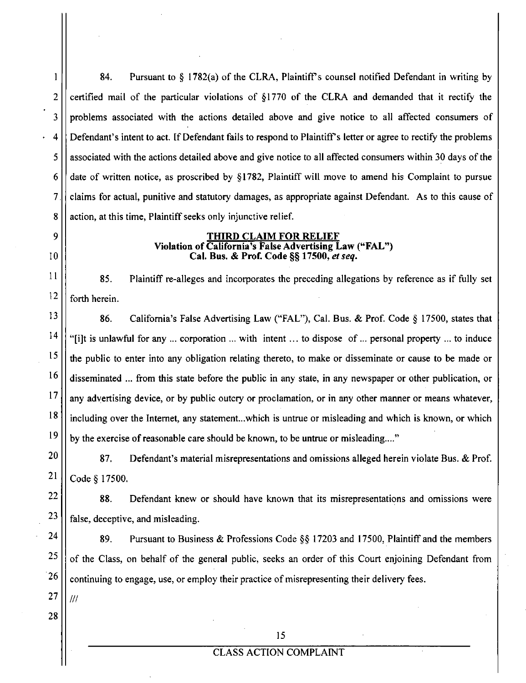1. 84. Pursuant to § 1782(a) of the CLRA, Plaintiff's counsel notified Defendant in writing by 2  $\vert$  certified mail of the particular violations of §1770 of the CLRA and demanded that it rectify the 3 problems associated with the actions detailed above and give notice to all affected consumers of 4 Defendant's intent to act. If Defendant fails to respond to Plaintiffs letter or agree to rectify the problems 5 associated with the actions detailed above and give notice to all affected consumers within 30 days of the  $6$  date of written notice, as proscribed by §1782, Plaintiff will move to amend his Complaint to pursue 7 claims for actual, punitive and statutory damages, as appropriate against Defendant. As to this cause of 8 | action, at this time, Plaintiff seeks only injunctive relief.

### **9 THIRD CLAIM FOR RELIEF Violation of California's False Advertising Law ("FAL")**  *10 Cal. Bus. & Prof. Code §§ 17500, et seq.*

 $\lvert$  85. Plaintiff re-alleges and incorporates the preceding allegations by reference as if fully set  $|12|$  forth herein.

 $\begin{bmatrix} 13 \end{bmatrix}$  86. California's False Advertising Law ("FAL"), Cal. Bus. & Prof. Code § 17500, states that <sup>14</sup>  $\vert$  "[i]t is unlawful for any ... corporation ... with intent... to dispose of ... personal property ... to induce  $\frac{15}{15}$  the public to enter into any obligation relating thereto, to make or disseminate or cause to be made or 16 disseminated ... from this state before the public in any state, in any newspaper or other publication, or 17 any advertising device, or by public outcry or proclamation, or in any other manner or means whatever,  $\frac{18}{1}$  including over the Internet, any statement...which is untrue or misleading and which is known, or which 19 by the exercise of reasonable care should be known, to be untrue or misleading...."

 $20$  | 87. Defendant's material misrepresentations and omissions alleged herein violate Bus. & Prof.  $21$  | Code § 17500.

 $\begin{bmatrix} 22 \\ 1 \end{bmatrix}$  88. Defendant knew or should have known that its misrepresentations and omissions were  $23$  | false, deceptive, and misleading.

<sup>24</sup>  $\vert$  89. Pursuant to Business & Professions Code §§ 17203 and 17500, Plaintiff and the members  $25$  of the Class, on behalf of the general public, seeks an order of this Court enjoining Defendant from  $\frac{26}{\text{c}}$  continuing to engage, use, or employ their practice of misrepresenting their delivery fees.

 $27 || ||$ 

28